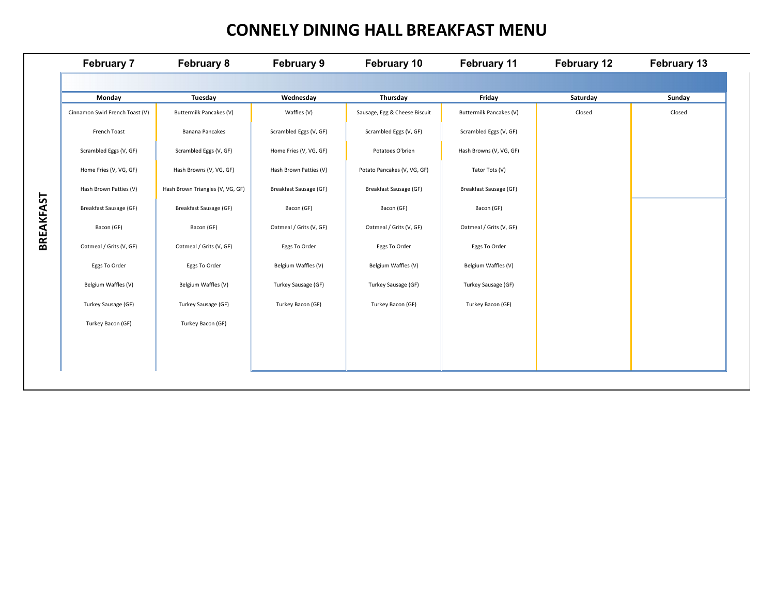## **CONNELY DINING HALL BREAKFAST MENU**

|                  | <b>February 7</b>               | <b>February 8</b>                | <b>February 9</b>       | February 10                   | February 11             | <b>February 12</b> | February 13 |
|------------------|---------------------------------|----------------------------------|-------------------------|-------------------------------|-------------------------|--------------------|-------------|
|                  |                                 |                                  |                         |                               |                         |                    |             |
|                  | Monday                          | Tuesday                          | Wednesday               | Thursday                      | Friday                  | Saturday           | Sunday      |
|                  | Cinnamon Swirl French Toast (V) | Buttermilk Pancakes (V)          | Waffles (V)             | Sausage, Egg & Cheese Biscuit | Buttermilk Pancakes (V) | Closed             | Closed      |
|                  | French Toast                    | Banana Pancakes                  | Scrambled Eggs (V, GF)  | Scrambled Eggs (V, GF)        | Scrambled Eggs (V, GF)  |                    |             |
|                  | Scrambled Eggs (V, GF)          | Scrambled Eggs (V, GF)           | Home Fries (V, VG, GF)  | Potatoes O'brien              | Hash Browns (V, VG, GF) |                    |             |
|                  | Home Fries (V, VG, GF)          | Hash Browns (V, VG, GF)          | Hash Brown Patties (V)  | Potato Pancakes (V, VG, GF)   | Tator Tots (V)          |                    |             |
|                  | Hash Brown Patties (V)          | Hash Brown Triangles (V, VG, GF) | Breakfast Sausage (GF)  | Breakfast Sausage (GF)        | Breakfast Sausage (GF)  |                    |             |
|                  | Breakfast Sausage (GF)          | Breakfast Sausage (GF)           | Bacon (GF)              | Bacon (GF)                    | Bacon (GF)              |                    |             |
| <b>BREAKFAST</b> | Bacon (GF)                      | Bacon (GF)                       | Oatmeal / Grits (V, GF) | Oatmeal / Grits (V, GF)       | Oatmeal / Grits (V, GF) |                    |             |
|                  | Oatmeal / Grits (V, GF)         | Oatmeal / Grits (V, GF)          | Eggs To Order           | Eggs To Order                 | Eggs To Order           |                    |             |
|                  | Eggs To Order                   | Eggs To Order                    | Belgium Waffles (V)     | Belgium Waffles (V)           | Belgium Waffles (V)     |                    |             |
|                  | Belgium Waffles (V)             | Belgium Waffles (V)              | Turkey Sausage (GF)     | Turkey Sausage (GF)           | Turkey Sausage (GF)     |                    |             |
|                  | Turkey Sausage (GF)             | Turkey Sausage (GF)              | Turkey Bacon (GF)       | Turkey Bacon (GF)             | Turkey Bacon (GF)       |                    |             |
|                  | Turkey Bacon (GF)               | Turkey Bacon (GF)                |                         |                               |                         |                    |             |
|                  |                                 |                                  |                         |                               |                         |                    |             |
|                  |                                 |                                  |                         |                               |                         |                    |             |
|                  |                                 |                                  |                         |                               |                         |                    |             |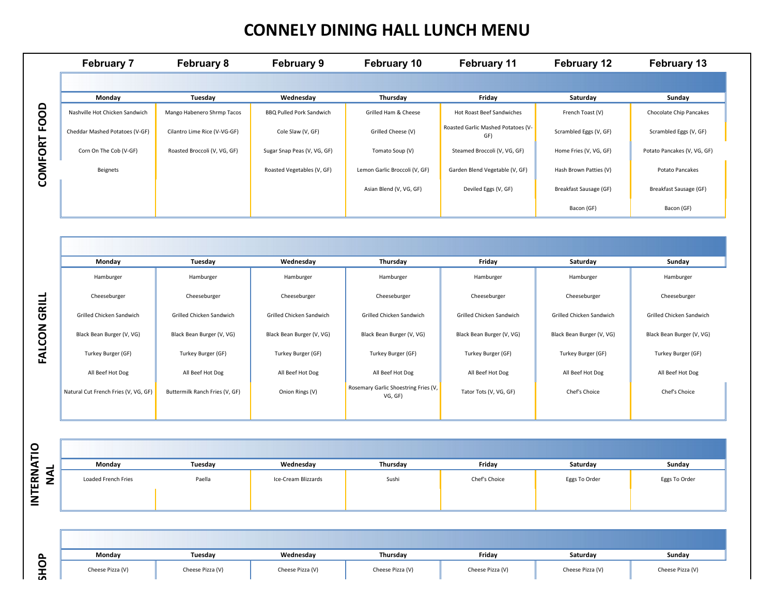# **CONNELY DINING HALL LUNCH MENU**

| <b>February 7</b>              | <b>February 8</b>            | <b>February 9</b>               | <b>February 10</b>            | <b>February 11</b>                        | <b>February 12</b>        | <b>February 13</b>          |
|--------------------------------|------------------------------|---------------------------------|-------------------------------|-------------------------------------------|---------------------------|-----------------------------|
|                                |                              |                                 |                               |                                           |                           |                             |
| Monday                         | Tuesday                      | Wednesday                       | Thursday                      | Friday                                    | Saturday                  | Sunday                      |
| Nashville Hot Chicken Sandwich | Mango Habenero Shrmp Tacos   | <b>BBQ Pulled Pork Sandwich</b> | Grilled Ham & Cheese          | Hot Roast Beef Sandwiches                 | French Toast (V)          | Chocolate Chip Pancakes     |
| Cheddar Mashed Potatoes (V-GF) | Cilantro Lime Rice (V-VG-GF) | Cole Slaw (V, GF)               | Grilled Cheese (V)            | Roasted Garlic Mashed Potatoes (V-<br>GF) | Scrambled Eggs (V, GF)    | Scrambled Eggs (V, GF)      |
| Corn On The Cob (V-GF)         | Roasted Broccoli (V, VG, GF) | Sugar Snap Peas (V, VG, GF)     | Tomato Soup (V)               | Steamed Broccoli (V, VG, GF)              | Home Fries (V, VG, GF)    | Potato Pancakes (V, VG, GF) |
| Beignets                       |                              | Roasted Vegetables (V, GF)      | Lemon Garlic Broccoli (V, GF) | Garden Blend Vegetable (V, GF)            | Hash Brown Patties (V)    | <b>Potato Pancakes</b>      |
|                                |                              |                                 | Asian Blend (V, VG, GF)       | Deviled Eggs (V, GF)                      | Breakfast Sausage (GF)    | Breakfast Sausage (GF)      |
|                                |                              |                                 |                               |                                           | Bacon (GF)                | Bacon (GF)                  |
|                                |                              |                                 |                               |                                           |                           |                             |
|                                |                              |                                 |                               |                                           |                           |                             |
| Monday                         | Tuesday                      | Wednesday                       | Thursday                      | Friday                                    | Saturday                  | Sunday                      |
| Hamburger                      | Hamburger                    | Hamburger                       | Hamburger                     | Hamburger                                 | Hamburger                 | Hamburger                   |
| Cheeseburger                   | Cheeseburger                 | Cheeseburger                    | Cheeseburger                  | Cheeseburger                              | Cheeseburger              | Cheeseburger                |
| Grilled Chicken Sandwich       | Grilled Chicken Sandwich     | Grilled Chicken Sandwich        | Grilled Chicken Sandwich      | Grilled Chicken Sandwich                  | Grilled Chicken Sandwich  | Grilled Chicken Sandwich    |
| Black Bean Burger (V, VG)      | Black Bean Burger (V, VG)    | Black Bean Burger (V, VG)       | Black Bean Burger (V, VG)     | Black Bean Burger (V, VG)                 | Black Bean Burger (V, VG) | Black Bean Burger (V, VG)   |
| Turkey Burger (GF)             | Turkey Burger (GF)           | Turkey Burger (GF)              | Turkey Burger (GF)            | Turkey Burger (GF)                        | Turkey Burger (GF)        | Turkey Burger (GF)          |

| Monday                               | Tuesday                        | Wednesday                 | Thursday                                        | Friday                    | Saturday                  | Sunday                    |
|--------------------------------------|--------------------------------|---------------------------|-------------------------------------------------|---------------------------|---------------------------|---------------------------|
| Hamburger                            | Hamburger                      | Hamburger                 | Hamburger                                       | Hamburger                 | Hamburger                 | Hamburger                 |
| Cheeseburger                         | Cheeseburger                   | Cheeseburger              | Cheeseburger                                    | Cheeseburger              | Cheeseburger              | Cheeseburger              |
| Grilled Chicken Sandwich             | Grilled Chicken Sandwich       | Grilled Chicken Sandwich  | Grilled Chicken Sandwich                        | Grilled Chicken Sandwich  | Grilled Chicken Sandwich  | Grilled Chicken Sandwich  |
| Black Bean Burger (V, VG)            | Black Bean Burger (V, VG)      | Black Bean Burger (V, VG) | Black Bean Burger (V, VG)                       | Black Bean Burger (V, VG) | Black Bean Burger (V, VG) | Black Bean Burger (V, VG) |
| Turkey Burger (GF)                   | Turkey Burger (GF)             | Turkey Burger (GF)        | Turkey Burger (GF)                              | Turkey Burger (GF)        | Turkey Burger (GF)        | Turkey Burger (GF)        |
| All Beef Hot Dog                     | All Beef Hot Dog               | All Beef Hot Dog          | All Beef Hot Dog                                | All Beef Hot Dog          | All Beef Hot Dog          | All Beef Hot Dog          |
| Natural Cut French Fries (V, VG, GF) | Buttermilk Ranch Fries (V, GF) | Onion Rings (V)           | Rosemary Garlic Shoestring Fries (V,<br>VG, GF) | Tator Tots (V, VG, GF)    | Chef's Choice             | Chef's Choice             |
|                                      |                                |                           |                                                 |                           |                           |                           |

| NTERNATIO | <b>NAL</b>  |
|-----------|-------------|
|           | <b>SHOP</b> |

**FALCON GRILL** 

| Monday              | Tuesday | Wednesday           | Thursday | Friday        | Saturday      | Sunday        |
|---------------------|---------|---------------------|----------|---------------|---------------|---------------|
| Loaded French Fries | Paella  | Ice-Cream Blizzards | Sushi    | Chef's Choice | Eggs To Order | Eggs To Order |

| $\sim$      | Monday           | Tuesday          | Wednesday        | Thursday         | Friday           | Saturday         | Sunday           |
|-------------|------------------|------------------|------------------|------------------|------------------|------------------|------------------|
| O<br>÷<br>ᄒ | Cheese Pizza (V) | Cheese Pizza (V) | Cheese Pizza (V) | Cheese Pizza (V) | Cheese Pizza (V) | Cheese Pizza (V) | Cheese Pizza (V) |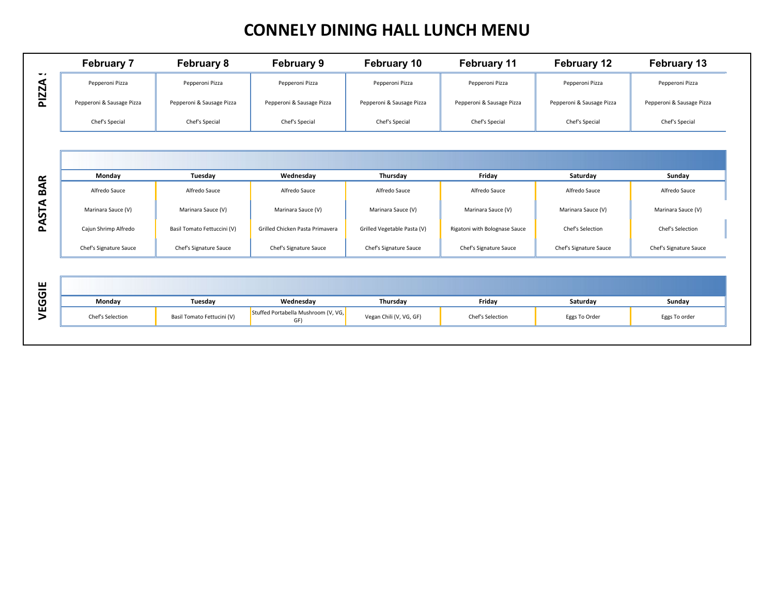## **CONNELY DINING HALL LUNCH MENU**

|                     | <b>February 7</b>         | <b>February 8</b>           | <b>February 9</b>                          | <b>February 10</b>          | <b>February 11</b>            | <b>February 12</b>        | <b>February 13</b>        |
|---------------------|---------------------------|-----------------------------|--------------------------------------------|-----------------------------|-------------------------------|---------------------------|---------------------------|
| $\blacksquare$<br>⋖ | Pepperoni Pizza           | Pepperoni Pizza             | Pepperoni Pizza                            | Pepperoni Pizza             | Pepperoni Pizza               | Pepperoni Pizza           | Pepperoni Pizza           |
| PIZZ                | Pepperoni & Sausage Pizza | Pepperoni & Sausage Pizza   | Pepperoni & Sausage Pizza                  | Pepperoni & Sausage Pizza   | Pepperoni & Sausage Pizza     | Pepperoni & Sausage Pizza | Pepperoni & Sausage Pizza |
|                     | Chef's Special            | Chef's Special              | Chef's Special                             | Chef's Special              | Chef's Special                | Chef's Special            | Chef's Special            |
|                     |                           |                             |                                            |                             |                               |                           |                           |
|                     |                           |                             |                                            |                             |                               |                           |                           |
|                     | Monday                    | Tuesday                     | Wednesday                                  | Thursday                    | Friday                        | Saturday                  | Sunday                    |
| <b>BAR</b>          | Alfredo Sauce             | Alfredo Sauce               | Alfredo Sauce                              | Alfredo Sauce               | Alfredo Sauce                 | Alfredo Sauce             | Alfredo Sauce             |
| PASTA               | Marinara Sauce (V)        | Marinara Sauce (V)          | Marinara Sauce (V)                         | Marinara Sauce (V)          | Marinara Sauce (V)            | Marinara Sauce (V)        | Marinara Sauce (V)        |
|                     | Cajun Shrimp Alfredo      | Basil Tomato Fettuccini (V) | Grilled Chicken Pasta Primavera            | Grilled Vegetable Pasta (V) | Rigatoni with Bolognase Sauce | Chef's Selection          | Chef's Selection          |
|                     | Chef's Signature Sauce    | Chef's Signature Sauce      | Chef's Signature Sauce                     | Chef's Signature Sauce      | Chef's Signature Sauce        | Chef's Signature Sauce    | Chef's Signature Sauce    |
|                     |                           |                             |                                            |                             |                               |                           |                           |
| VEGGIE              |                           |                             |                                            |                             |                               |                           |                           |
|                     | Monday                    | Tuesday                     | Wednesday                                  | Thursday                    | Friday                        | Saturday                  | Sunday                    |
|                     | Chef's Selection          | Basil Tomato Fettucini (V)  | Stuffed Portabella Mushroom (V, VG,<br>GF) | Vegan Chili (V, VG, GF)     | Chef's Selection              | Eggs To Order             | Eggs To order             |
|                     |                           |                             |                                            |                             |                               |                           |                           |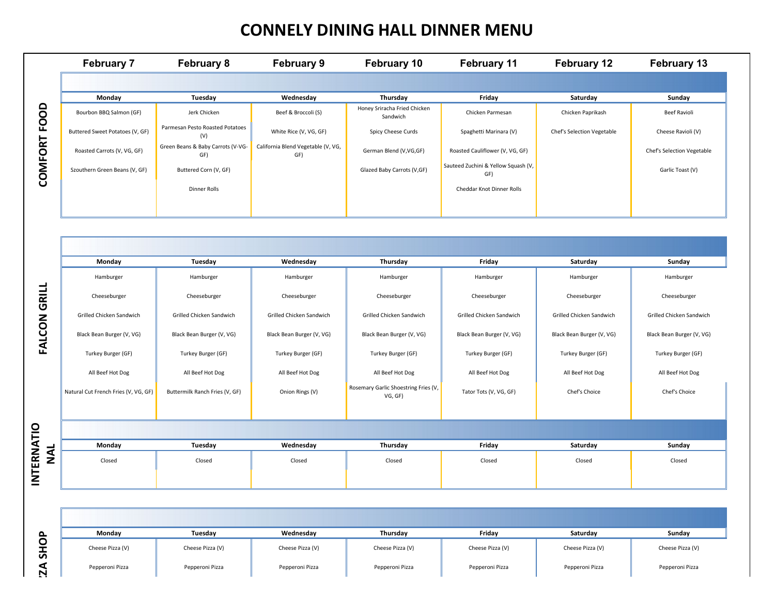#### **CONNELY DINING HALL DINNER MENU**

|                  | <b>February 7</b>               | <b>February 8</b>                        | <b>February 9</b>                         | February 10                              | <b>February 11</b>                         | <b>February 12</b>         | <b>February 13</b>         |
|------------------|---------------------------------|------------------------------------------|-------------------------------------------|------------------------------------------|--------------------------------------------|----------------------------|----------------------------|
|                  |                                 |                                          |                                           |                                          |                                            |                            |                            |
|                  | Monday                          | Tuesday                                  | Wednesday                                 | Thursday                                 | Friday                                     | Saturday                   | Sunday                     |
| $\Omega$<br>FOOI | Bourbon BBQ Salmon (GF)         | Jerk Chicken                             | Beef & Broccoli (S)                       | Honey Sriracha Fried Chicken<br>Sandwich | Chicken Parmesan                           | Chicken Paprikash          | Beef Ravioli               |
|                  | Buttered Sweet Potatoes (V, GF) | Parmesan Pesto Roasted Potatoes<br>(V)   | White Rice (V, VG, GF)                    | Spicy Cheese Curds                       | Spaghetti Marinara (V)                     | Chef's Selection Vegetable | Cheese Ravioli (V)         |
|                  | Roasted Carrots (V, VG, GF)     | Green Beans & Baby Carrots (V-VG-<br>GF) | California Blend Vegetable (V, VG,<br>GF) | German Blend (V, VG, GF)                 | Roasted Cauliflower (V, VG, GF)            |                            | Chef's Selection Vegetable |
| COMFORT          | Szouthern Green Beans (V, GF)   | Buttered Corn (V, GF)                    |                                           | Glazed Baby Carrots (V,GF)               | Sauteed Zuchini & Yellow Squash (V,<br>GF) |                            | Garlic Toast (V)           |
|                  |                                 | Dinner Rolls                             |                                           |                                          | Cheddar Knot Dinner Rolls                  |                            |                            |
|                  |                                 |                                          |                                           |                                          |                                            |                            |                            |

|                          | Bourbon BBQ Salmon (GF)              | Jerk Chicken                             | Beef & Broccoli (S)                       | Honey Sriracha Fried Chicken<br>Sandwich        | Chicken Parmesan                           | Chicken Paprikash          | <b>Beef Ravioli</b>        |
|--------------------------|--------------------------------------|------------------------------------------|-------------------------------------------|-------------------------------------------------|--------------------------------------------|----------------------------|----------------------------|
|                          | Buttered Sweet Potatoes (V, GF)      | Parmesan Pesto Roasted Potatoes<br>(V)   | White Rice (V, VG, GF)                    | Spicy Cheese Curds                              | Spaghetti Marinara (V)                     | Chef's Selection Vegetable | Cheese Ravioli (V)         |
|                          | Roasted Carrots (V, VG, GF)          | Green Beans & Baby Carrots (V-VG-<br>GF) | California Blend Vegetable (V, VG,<br>GF) | German Blend (V, VG, GF)                        | Roasted Cauliflower (V, VG, GF)            |                            | Chef's Selection Vegetable |
| COMFORT FOOD             | Szouthern Green Beans (V, GF)        | Buttered Corn (V, GF)                    |                                           | Glazed Baby Carrots (V,GF)                      | Sauteed Zuchini & Yellow Squash (V,<br>GF) |                            | Garlic Toast (V)           |
|                          |                                      | Dinner Rolls                             |                                           |                                                 | Cheddar Knot Dinner Rolls                  |                            |                            |
|                          |                                      |                                          |                                           |                                                 |                                            |                            |                            |
|                          |                                      |                                          |                                           |                                                 |                                            |                            |                            |
|                          |                                      |                                          |                                           |                                                 |                                            |                            |                            |
|                          | Monday                               | Tuesday                                  | Wednesday                                 | Thursday                                        | Friday                                     | Saturday                   | Sunday                     |
|                          | Hamburger                            | Hamburger                                | Hamburger                                 | Hamburger                                       | Hamburger                                  | Hamburger                  | Hamburger                  |
|                          | Cheeseburger                         | Cheeseburger                             | Cheeseburger                              | Cheeseburger                                    | Cheeseburger                               | Cheeseburger               | Cheeseburger               |
|                          | Grilled Chicken Sandwich             | Grilled Chicken Sandwich                 | Grilled Chicken Sandwich                  | Grilled Chicken Sandwich                        | Grilled Chicken Sandwich                   | Grilled Chicken Sandwich   | Grilled Chicken Sandwich   |
| <b>FALCON GRILL</b>      | Black Bean Burger (V, VG)            | Black Bean Burger (V, VG)                | Black Bean Burger (V, VG)                 | Black Bean Burger (V, VG)                       | Black Bean Burger (V, VG)                  | Black Bean Burger (V, VG)  | Black Bean Burger (V, VG)  |
|                          | Turkey Burger (GF)                   | Turkey Burger (GF)                       | Turkey Burger (GF)                        | Turkey Burger (GF)                              | Turkey Burger (GF)                         | Turkey Burger (GF)         | Turkey Burger (GF)         |
|                          | All Beef Hot Dog                     | All Beef Hot Dog                         | All Beef Hot Dog                          | All Beef Hot Dog                                | All Beef Hot Dog                           | All Beef Hot Dog           | All Beef Hot Dog           |
|                          | Natural Cut French Fries (V, VG, GF) | Buttermilk Ranch Fries (V, GF)           | Onion Rings (V)                           | Rosemary Garlic Shoestring Fries (V,<br>VG, GF) | Tator Tots (V, VG, GF)                     | Chef's Choice              | Chef's Choice              |
|                          |                                      |                                          |                                           |                                                 |                                            |                            |                            |
|                          |                                      |                                          |                                           |                                                 |                                            |                            |                            |
|                          | Monday                               | Tuesday                                  | Wednesday                                 | Thursday                                        | Friday                                     | Saturday                   | Sunday                     |
| <b>INTERNATIO</b><br>NAL | Closed                               | Closed                                   | Closed                                    | Closed                                          | Closed                                     | Closed                     | Closed                     |
|                          |                                      |                                          |                                           |                                                 |                                            |                            |                            |
|                          |                                      |                                          |                                           |                                                 |                                            |                            |                            |
|                          | Monday                               | Tuesday                                  | Wednesday                                 | Thursday                                        | Friday                                     | Saturday                   | Sunday                     |
| <b>SHOP</b>              | Cheese Pizza (V)                     | Cheese Pizza (V)                         | Cheese Pizza (V)                          | Cheese Pizza (V)                                | Cheese Pizza (V)                           | Cheese Pizza (V)           | Cheese Pizza (V)           |
| $\overline{A}$           | Pepperoni Pizza                      | Pepperoni Pizza                          | Pepperoni Pizza                           | Pepperoni Pizza                                 | Pepperoni Pizza                            | Pepperoni Pizza            | Pepperoni Pizza            |

INTERNATIO

| Monday           | Tuesdav          | Wednesday        | Thursday         | Fridav           | Saturdav         | Sunday           |
|------------------|------------------|------------------|------------------|------------------|------------------|------------------|
| Cheese Pizza (V) | Cheese Pizza (V) | Cheese Pizza (V) | Cheese Pizza (V) | Cheese Pizza (V) | Cheese Pizza (V) | Cheese Pizza (V) |
| Pepperoni Pizza  | Pepperoni Pizza  | Pepperoni Pizza  | Pepperoni Pizza  | Pepperoni Pizza  | Pepperoni Pizza  | Pepperoni Pizza  |